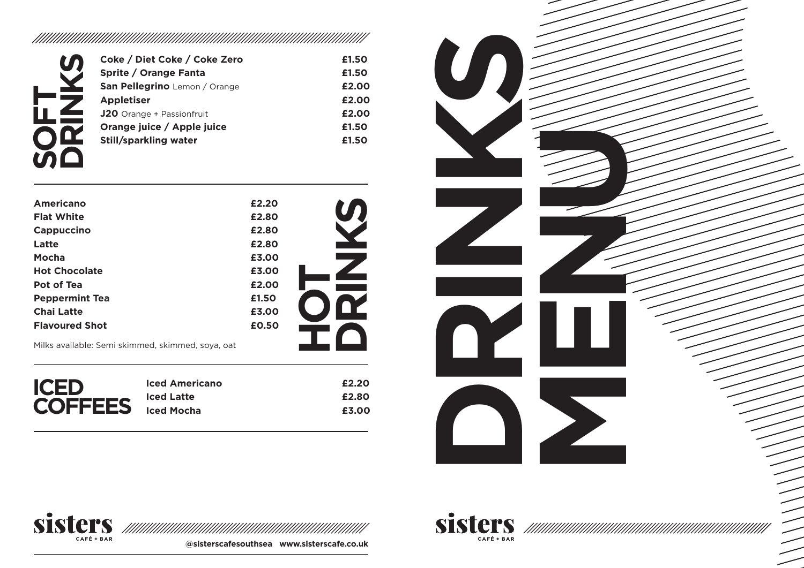| Coke / Diet Coke / Coke Zero     | £1.50 |
|----------------------------------|-------|
| Sprite / Orange Fanta            | £1.50 |
| San Pellegrino Lemon / Orange    | £2.00 |
| <b>Appletiser</b>                | £2.00 |
| <b>J20</b> Orange + Passionfruit | £2.00 |
| Orange juice / Apple juice       | £1.50 |
| <b>Still/sparkling water</b>     | £1.50 |
|                                  |       |

| Americano                                         | £2.20 |  |
|---------------------------------------------------|-------|--|
| <b>Flat White</b>                                 | £2.80 |  |
| Cappuccino                                        | £2.80 |  |
| Latte                                             | £2.80 |  |
| Mocha                                             | £3.00 |  |
| <b>Hot Chocolate</b>                              | £3.00 |  |
| Pot of Tea                                        | £2.00 |  |
| <b>Peppermint Tea</b>                             | £1.50 |  |
| <b>Chai Latte</b>                                 | £3.00 |  |
| <b>Flavoured Shot</b>                             | £0.50 |  |
| Milks available: Semi skimmed, skimmed, soya, oat |       |  |

| <b>ICED</b>    | <b>Iced Americano</b> | £2.20 |
|----------------|-----------------------|-------|
|                | <b>Iced Latte</b>     | £2.80 |
| <b>COFFEES</b> | Iced Mocha            | £3.00 |





**@sisterscafesouthsea www.sisterscafe.co.uk**